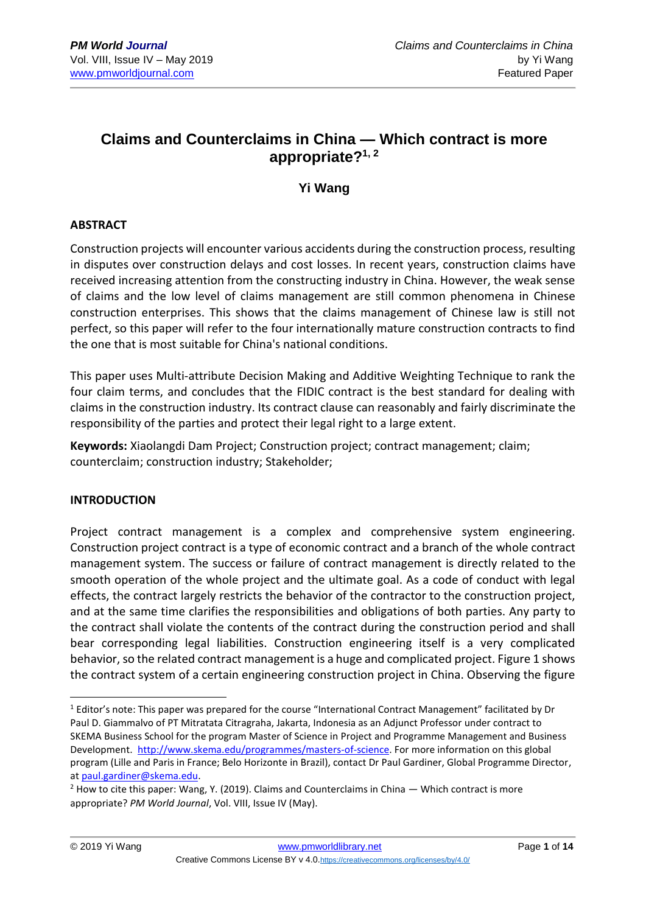# **Claims and Counterclaims in China — Which contract is more appropriate?1, 2**

**Yi Wang**

### **ABSTRACT**

Construction projects will encounter various accidents during the construction process, resulting in disputes over construction delays and cost losses. In recent years, construction claims have received increasing attention from the constructing industry in China. However, the weak sense of claims and the low level of claims management are still common phenomena in Chinese construction enterprises. This shows that the claims management of Chinese law is still not perfect, so this paper will refer to the four internationally mature construction contracts to find the one that is most suitable for China's national conditions.

This paper uses Multi-attribute Decision Making and Additive Weighting Technique to rank the four claim terms, and concludes that the FIDIC contract is the best standard for dealing with claims in the construction industry. Its contract clause can reasonably and fairly discriminate the responsibility of the parties and protect their legal right to a large extent.

**Keywords:** Xiaolangdi Dam Project; Construction project; contract management; claim; counterclaim; construction industry; Stakeholder;

# **INTRODUCTION**

Project contract management is a complex and comprehensive system engineering. Construction project contract is a type of economic contract and a branch of the whole contract management system. The success or failure of contract management is directly related to the smooth operation of the whole project and the ultimate goal. As a code of conduct with legal effects, the contract largely restricts the behavior of the contractor to the construction project, and at the same time clarifies the responsibilities and obligations of both parties. Any party to the contract shall violate the contents of the contract during the construction period and shall bear corresponding legal liabilities. Construction engineering itself is a very complicated behavior, so the related contract management is a huge and complicated project. Figure 1 shows the contract system of a certain engineering construction project in China. Observing the figure

<sup>1</sup> <sup>1</sup> Editor's note: This paper was prepared for the course "International Contract Management" facilitated by Dr Paul D. Giammalvo of PT Mitratata Citragraha, Jakarta, Indonesia as an Adjunct Professor under contract to SKEMA Business School for the program Master of Science in Project and Programme Management and Business Development. [http://www.skema.edu/programmes/masters-of-science.](http://www.skema.edu/programmes/masters-of-science) For more information on this global program (Lille and Paris in France; Belo Horizonte in Brazil), contact Dr Paul Gardiner, Global Programme Director, at [paul.gardiner@skema.edu.](mailto:paul.gardiner@skema.edu)

 $2$  How to cite this paper: Wang, Y. (2019). Claims and Counterclaims in China  $-$  Which contract is more appropriate? *PM World Journal*, Vol. VIII, Issue IV (May).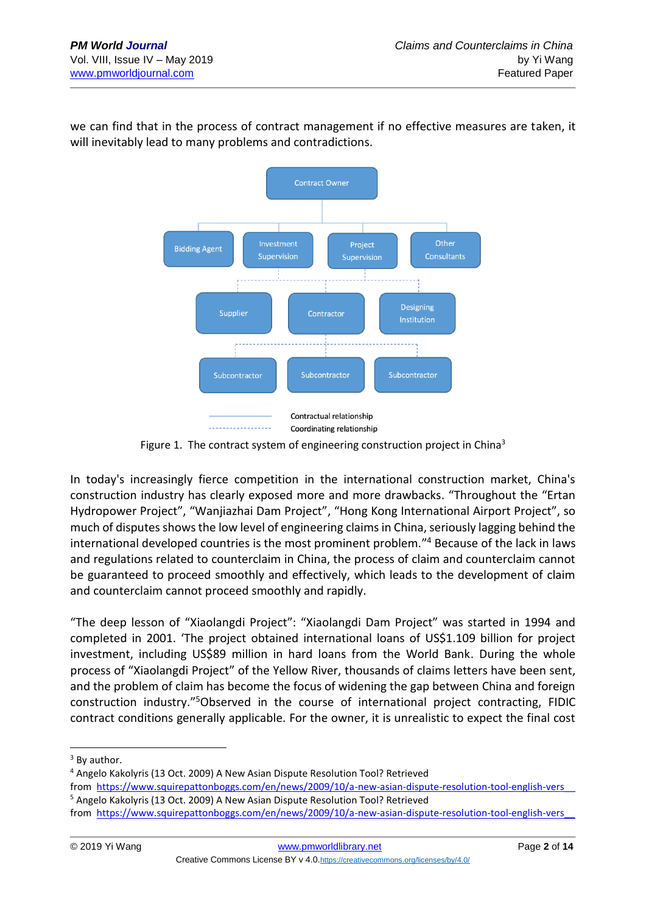we can find that in the process of contract management if no effective measures are taken, it will inevitably lead to many problems and contradictions.



Figure 1. The contract system of engineering construction project in China<sup>3</sup>

In today's increasingly fierce competition in the international construction market, China's construction industry has clearly exposed more and more drawbacks. "Throughout the "Ertan Hydropower Project", "Wanjiazhai Dam Project", "Hong Kong International Airport Project", so much of disputes shows the low level of engineering claims in China, seriously lagging behind the international developed countries is the most prominent problem." <sup>4</sup> Because of the lack in laws and regulations related to counterclaim in China, the process of claim and counterclaim cannot be guaranteed to proceed smoothly and effectively, which leads to the development of claim and counterclaim cannot proceed smoothly and rapidly.

"The deep lesson of "Xiaolangdi Project": "Xiaolangdi Dam Project" was started in 1994 and completed in 2001. 'The project obtained international loans of US\$1.109 billion for project investment, including US\$89 million in hard loans from the World Bank. During the whole process of "Xiaolangdi Project" of the Yellow River, thousands of claims letters have been sent, and the problem of claim has become the focus of widening the gap between China and foreign construction industry." <sup>5</sup>Observed in the course of international project contracting, FIDIC contract conditions generally applicable. For the owner, it is unrealistic to expect the final cost

<sup>&</sup>lt;sup>3</sup> By author.

<sup>4</sup> Angelo Kakolyris (13 Oct. 2009) A New Asian Dispute Resolution Tool? Retrieved

from [https://www.squirepattonboggs.com/en/news/2009/10/a-new-asian-dispute-resolution-tool-english-vers\\_\\_](https://www.squirepattonboggs.com/en/news/2009/10/a-new-asian-dispute-resolution-tool-english-vers__) <sup>5</sup> Angelo Kakolyris (13 Oct. 2009) A New Asian Dispute Resolution Tool? Retrieved

from [https://www.squirepattonboggs.com/en/news/2009/10/a-new-asian-dispute-resolution-tool-english-vers\\_\\_](https://www.squirepattonboggs.com/en/news/2009/10/a-new-asian-dispute-resolution-tool-english-vers__)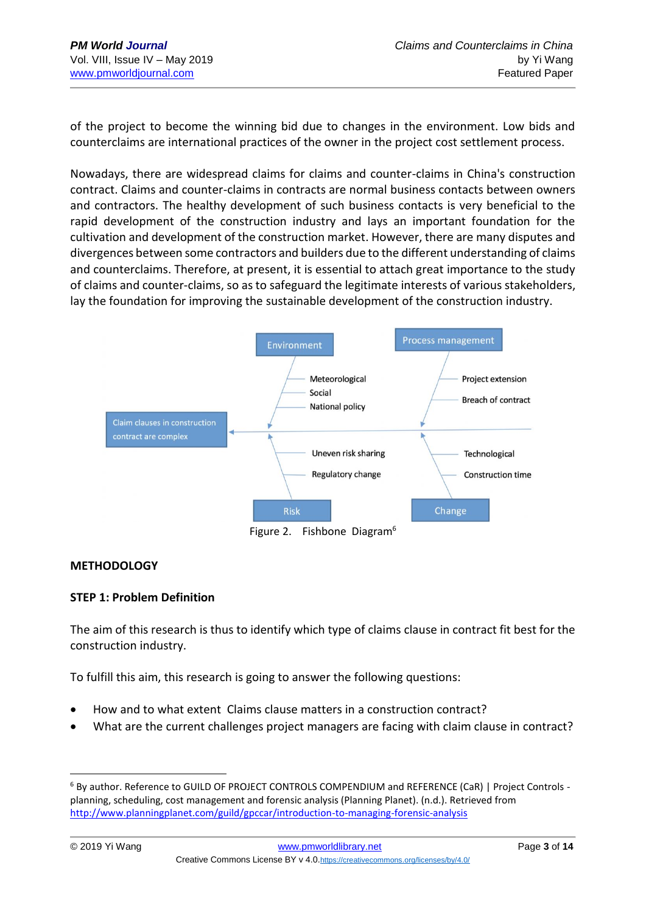of the project to become the winning bid due to changes in the environment. Low bids and counterclaims are international practices of the owner in the project cost settlement process.

Nowadays, there are widespread claims for claims and counter-claims in China's construction contract. Claims and counter-claims in contracts are normal business contacts between owners and contractors. The healthy development of such business contacts is very beneficial to the rapid development of the construction industry and lays an important foundation for the cultivation and development of the construction market. However, there are many disputes and divergences between some contractors and builders due to the different understanding of claims and counterclaims. Therefore, at present, it is essential to attach great importance to the study of claims and counter-claims, so as to safeguard the legitimate interests of various stakeholders, lay the foundation for improving the sustainable development of the construction industry.



#### **METHODOLOGY**

#### **STEP 1: Problem Definition**

The aim of this research is thus to identify which type of claims clause in contract fit best for the construction industry.

To fulfill this aim, this research is going to answer the following questions:

- How and to what extent Claims clause matters in a construction contract?
- What are the current challenges project managers are facing with claim clause in contract?

<sup>6</sup> By author. Reference to GUILD OF PROJECT CONTROLS COMPENDIUM and REFERENCE (CaR) | Project Controls planning, scheduling, cost management and forensic analysis (Planning Planet). (n.d.). Retrieved from <http://www.planningplanet.com/guild/gpccar/introduction-to-managing-forensic-analysis>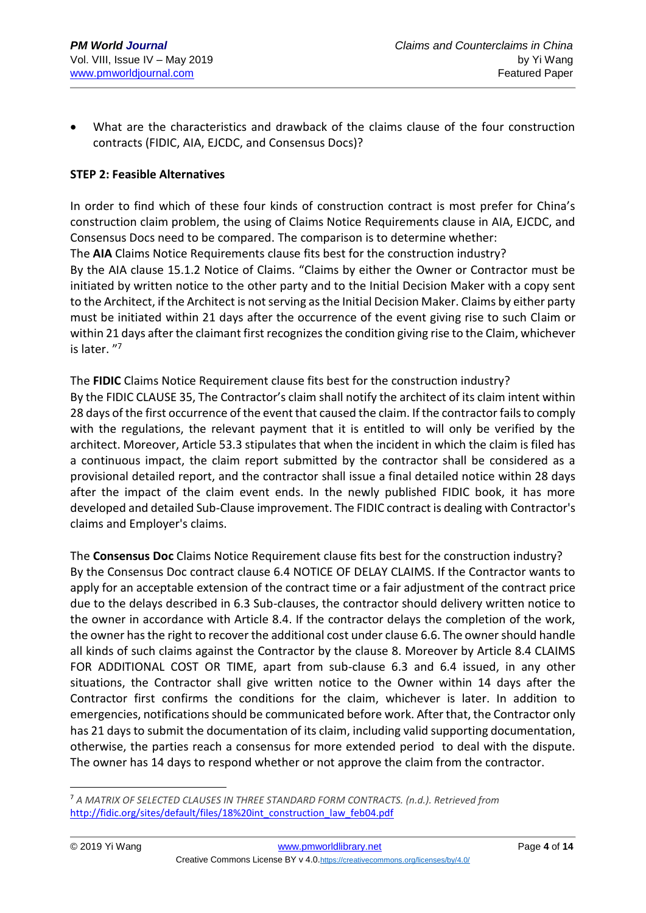• What are the characteristics and drawback of the claims clause of the four construction contracts (FIDIC, AIA, EJCDC, and Consensus Docs)?

## **STEP 2: Feasible Alternatives**

In order to find which of these four kinds of construction contract is most prefer for China's construction claim problem, the using of Claims Notice Requirements clause in AIA, EJCDC, and Consensus Docs need to be compared. The comparison is to determine whether: The **AIA** Claims Notice Requirements clause fits best for the construction industry?

By the AIA clause 15.1.2 Notice of Claims. "Claims by either the Owner or Contractor must be initiated by written notice to the other party and to the Initial Decision Maker with a copy sent to the Architect, if the Architect is not serving as the Initial Decision Maker. Claims by either party must be initiated within 21 days after the occurrence of the event giving rise to such Claim or within 21 days after the claimant first recognizes the condition giving rise to the Claim, whichever is later. "<sup>7</sup>

The **FIDIC** Claims Notice Requirement clause fits best for the construction industry? By the FIDIC CLAUSE 35, The Contractor's claim shall notify the architect of its claim intent within 28 days of the first occurrence of the event that caused the claim. If the contractor fails to comply with the regulations, the relevant payment that it is entitled to will only be verified by the architect. Moreover, Article 53.3 stipulates that when the incident in which the claim is filed has a continuous impact, the claim report submitted by the contractor shall be considered as a provisional detailed report, and the contractor shall issue a final detailed notice within 28 days after the impact of the claim event ends. In the newly published FIDIC book, it has more developed and detailed Sub-Clause improvement. The FIDIC contract is dealing with Contractor's claims and Employer's claims.

The **Consensus Doc** Claims Notice Requirement clause fits best for the construction industry? By the Consensus Doc contract clause 6.4 NOTICE OF DELAY CLAIMS. If the Contractor wants to apply for an acceptable extension of the contract time or a fair adjustment of the contract price due to the delays described in 6.3 Sub-clauses, the contractor should delivery written notice to the owner in accordance with Article 8.4. If the contractor delays the completion of the work, the owner has the right to recover the additional cost under clause 6.6. The owner should handle all kinds of such claims against the Contractor by the clause 8. Moreover by Article 8.4 CLAIMS FOR ADDITIONAL COST OR TIME, apart from sub-clause 6.3 and 6.4 issued, in any other situations, the Contractor shall give written notice to the Owner within 14 days after the Contractor first confirms the conditions for the claim, whichever is later. In addition to emergencies, notifications should be communicated before work. After that, the Contractor only has 21 days to submit the documentation of its claim, including valid supporting documentation, otherwise, the parties reach a consensus for more extended period to deal with the dispute. The owner has 14 days to respond whether or not approve the claim from the contractor.

<sup>7</sup> *A MATRIX OF SELECTED CLAUSES IN THREE STANDARD FORM CONTRACTS. (n.d.). Retrieved from*  [http://fidic.org/sites/default/files/18%20int\\_construction\\_law\\_feb04.pdf](http://fidic.org/sites/default/files/18%20int_construction_law_feb04.pdf)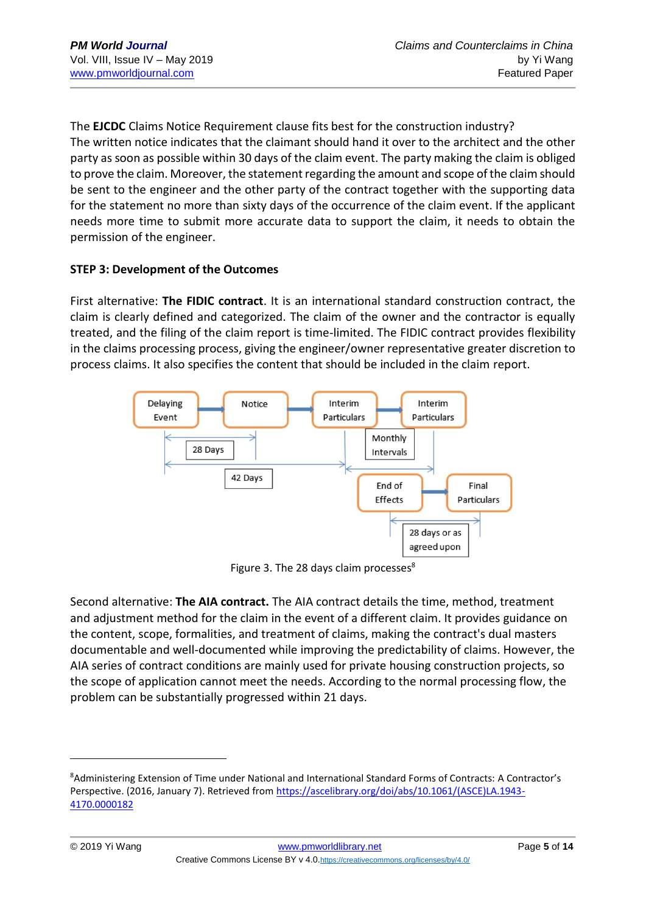The **EJCDC** Claims Notice Requirement clause fits best for the construction industry? The written notice indicates that the claimant should hand it over to the architect and the other party as soon as possible within 30 days of the claim event. The party making the claim is obliged to prove the claim. Moreover, the statement regarding the amount and scope of the claim should be sent to the engineer and the other party of the contract together with the supporting data for the statement no more than sixty days of the occurrence of the claim event. If the applicant needs more time to submit more accurate data to support the claim, it needs to obtain the permission of the engineer.

# **STEP 3: Development of the Outcomes**

First alternative: **The FIDIC contract**. It is an international standard construction contract, the claim is clearly defined and categorized. The claim of the owner and the contractor is equally treated, and the filing of the claim report is time-limited. The FIDIC contract provides flexibility in the claims processing process, giving the engineer/owner representative greater discretion to process claims. It also specifies the content that should be included in the claim report.



Figure 3. The 28 days claim processes<sup>8</sup>

Second alternative: **The AIA contract.** The AIA contract details the time, method, treatment and adjustment method for the claim in the event of a different claim. It provides guidance on the content, scope, formalities, and treatment of claims, making the contract's dual masters documentable and well-documented while improving the predictability of claims. However, the AIA series of contract conditions are mainly used for private housing construction projects, so the scope of application cannot meet the needs. According to the normal processing flow, the problem can be substantially progressed within 21 days.

<u>.</u>

<sup>8</sup>Administering Extension of Time under National and International Standard Forms of Contracts: A Contractor's Perspective. (2016, January 7). Retrieved from [https://ascelibrary.org/doi/abs/10.1061/\(ASCE\)LA.1943-](https://ascelibrary.org/doi/abs/10.1061/(ASCE)LA.1943-4170.0000182) [4170.0000182](https://ascelibrary.org/doi/abs/10.1061/(ASCE)LA.1943-4170.0000182)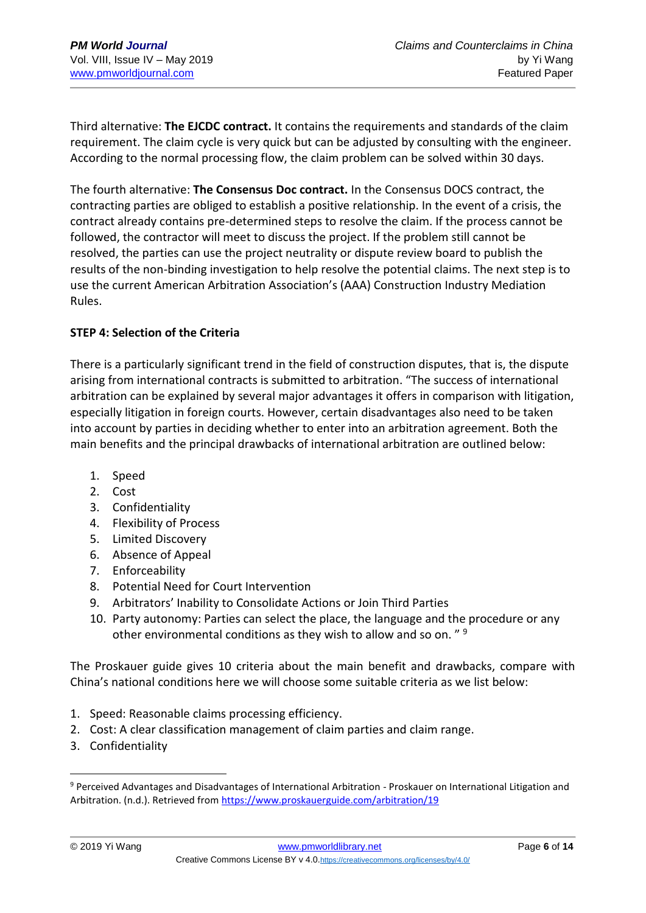Third alternative: **The EJCDC contract.** It contains the requirements and standards of the claim requirement. The claim cycle is very quick but can be adjusted by consulting with the engineer. According to the normal processing flow, the claim problem can be solved within 30 days.

The fourth alternative: **The Consensus Doc contract.** In the Consensus DOCS contract, the contracting parties are obliged to establish a positive relationship. In the event of a crisis, the contract already contains pre-determined steps to resolve the claim. If the process cannot be followed, the contractor will meet to discuss the project. If the problem still cannot be resolved, the parties can use the project neutrality or dispute review board to publish the results of the non-binding investigation to help resolve the potential claims. The next step is to use the current American Arbitration Association's (AAA) Construction Industry Mediation Rules.

### **STEP 4: Selection of the Criteria**

There is a particularly significant trend in the field of construction disputes, that is, the dispute arising from international contracts is submitted to arbitration. "The success of international arbitration can be explained by several major advantages it offers in comparison with litigation, especially litigation in foreign courts. However, certain disadvantages also need to be taken into account by parties in deciding whether to enter into an arbitration agreement. Both the main benefits and the principal drawbacks of international arbitration are outlined below:

- 1. Speed
- 2. Cost
- 3. Confidentiality
- 4. Flexibility of Process
- 5. Limited Discovery
- 6. Absence of Appeal
- 7. Enforceability
- 8. Potential Need for Court Intervention
- 9. Arbitrators' Inability to Consolidate Actions or Join Third Parties
- 10. Party autonomy: Parties can select the place, the language and the procedure or any other environmental conditions as they wish to allow and so on. " <sup>9</sup>

The Proskauer guide gives 10 criteria about the main benefit and drawbacks, compare with China's national conditions here we will choose some suitable criteria as we list below:

- 1. Speed: Reasonable claims processing efficiency.
- 2. Cost: A clear classification management of claim parties and claim range.
- 3. Confidentiality

<sup>9</sup> Perceived Advantages and Disadvantages of International Arbitration - Proskauer on International Litigation and Arbitration. (n.d.). Retrieved from<https://www.proskauerguide.com/arbitration/19>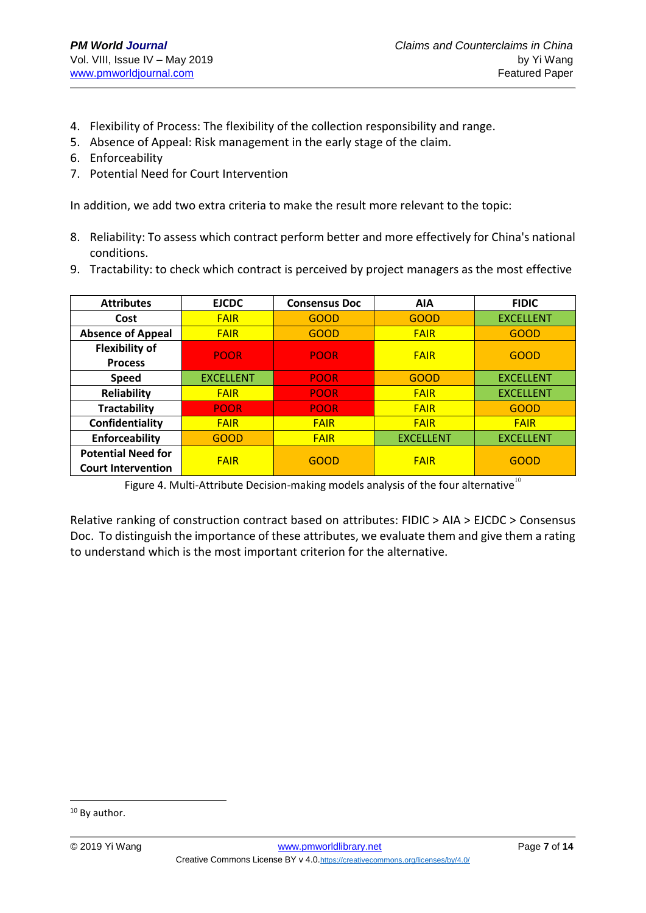- 4. Flexibility of Process: The flexibility of the collection responsibility and range.
- 5. Absence of Appeal: Risk management in the early stage of the claim.
- 6. Enforceability
- 7. Potential Need for Court Intervention

In addition, we add two extra criteria to make the result more relevant to the topic:

- 8. Reliability: To assess which contract perform better and more effectively for China's national conditions.
- 9. Tractability: to check which contract is perceived by project managers as the most effective

| <b>Attributes</b>         | <b>EJCDC</b>     | <b>Consensus Doc</b> | <b>AIA</b>       | <b>FIDIC</b>     |  |  |
|---------------------------|------------------|----------------------|------------------|------------------|--|--|
| Cost                      | <b>FAIR</b>      | <b>GOOD</b>          | GOOD             | <b>EXCELLENT</b> |  |  |
| <b>Absence of Appeal</b>  | <b>FAIR</b>      | <b>GOOD</b>          | <b>FAIR</b>      | <b>GOOD</b>      |  |  |
| <b>Flexibility of</b>     | <b>POOR</b>      | <b>POOR</b>          | <b>FAIR</b>      | <b>GOOD</b>      |  |  |
| <b>Process</b>            |                  |                      |                  |                  |  |  |
| <b>Speed</b>              | <b>EXCELLENT</b> | <b>POOR</b>          | <b>GOOD</b>      | <b>EXCELLENT</b> |  |  |
| <b>Reliability</b>        | <b>FAIR</b>      | <b>POOR</b>          | <b>FAIR</b>      | <b>EXCELLENT</b> |  |  |
| <b>Tractability</b>       | <b>POOR</b>      | <b>POOR</b>          | <b>FAIR</b>      | <b>GOOD</b>      |  |  |
| Confidentiality           | <b>FAIR</b>      | <b>FAIR</b>          | <b>FAIR</b>      | <b>FAIR</b>      |  |  |
| Enforceability            | <b>GOOD</b>      | <b>FAIR</b>          | <b>EXCELLENT</b> | <b>EXCELLENT</b> |  |  |
| <b>Potential Need for</b> | <b>FAIR</b>      | GOOD                 | <b>FAIR</b>      | GOOD             |  |  |
| <b>Court Intervention</b> |                  |                      |                  |                  |  |  |

Figure 4. Multi-Attribute Decision-making models analysis of the four alternative<sup>10</sup>

Relative ranking of construction contract based on attributes: FIDIC > AIA > EJCDC > Consensus Doc. To distinguish the importance of these attributes, we evaluate them and give them a rating to understand which is the most important criterion for the alternative.

<sup>&</sup>lt;sup>10</sup> By author.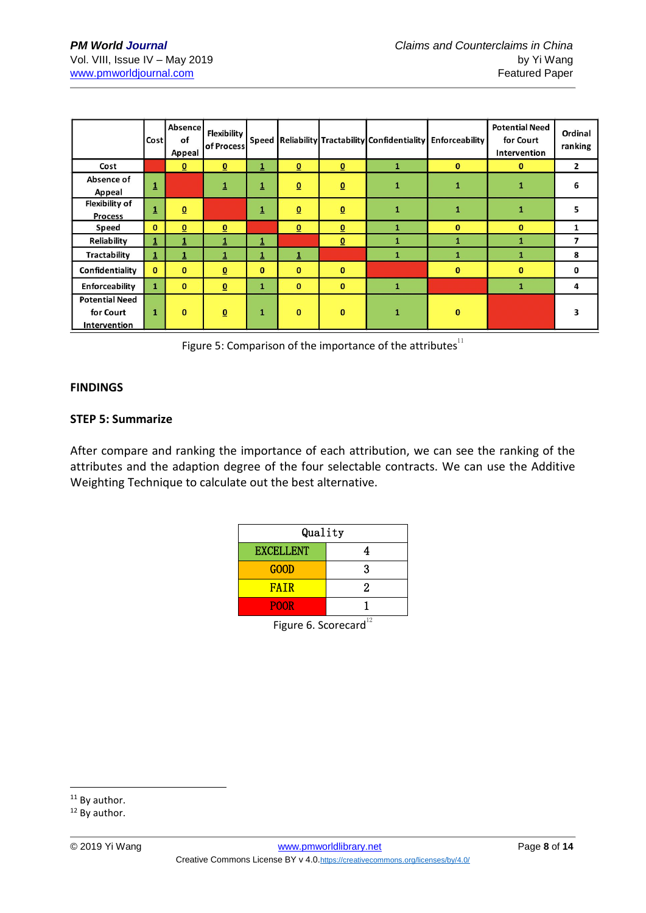|                                                    | Cost                    | Absence<br>of<br>Appeal  | <b>Flexibility</b><br>of Process |                         |                          |                          | Speed Reliability Tractability Confidentiality Enforceability |              | <b>Potential Need</b><br>for Court<br>Intervention | Ordinal<br>ranking |
|----------------------------------------------------|-------------------------|--------------------------|----------------------------------|-------------------------|--------------------------|--------------------------|---------------------------------------------------------------|--------------|----------------------------------------------------|--------------------|
| Cost                                               |                         | $\Omega$                 | $\Omega$                         | $\mathbf 1$             | $\underline{\mathbf{0}}$ | $\underline{\mathbf{0}}$ | $\mathbf{1}$                                                  | $\mathbf{0}$ | $\mathbf{0}$                                       | $\overline{2}$     |
| Absence of<br>Appeal                               | $\overline{\mathbf{1}}$ |                          | $\overline{\mathbf{1}}$          | $\overline{\mathbf{1}}$ | $\underline{0}$          | $\underline{\mathbf{0}}$ | $\mathbf{1}$                                                  | $\mathbf{1}$ | 1                                                  | 6                  |
| Flexibility of<br><b>Process</b>                   | $\overline{\mathbf{1}}$ | $\underline{\mathbf{0}}$ |                                  | $\overline{1}$          | $\overline{0}$           | $\underline{\mathbf{0}}$ | $\mathbf{1}$                                                  | $\mathbf{1}$ | 1                                                  | 5                  |
| Speed                                              | $\mathbf{0}$            | $\overline{0}$           | $\Omega$                         |                         | $\overline{0}$           | $\underline{\mathbf{0}}$ | 1                                                             | $\bf{0}$     | $\mathbf{0}$                                       | 1                  |
| Reliability                                        | $\overline{\mathbf{1}}$ |                          |                                  |                         |                          | $\underline{\mathbf{0}}$ |                                                               |              |                                                    | 7                  |
| <b>Tractability</b>                                | $\mathbf{1}$            | 1                        | $\mathbf{1}$                     | $\mathbf 1$             | 1                        |                          | 1                                                             | 1            | 1                                                  | 8                  |
| Confidentiality                                    | $\mathbf{0}$            | $\bf{0}$                 | $\underline{\mathbf{0}}$         | $\mathbf{0}$            | $\bf{0}$                 | $\bf{0}$                 |                                                               | $\bf{0}$     | $\bf{0}$                                           | 0                  |
| Enforceability                                     | $\mathbf{1}$            | $\mathbf{0}$             | $\underline{\mathbf{0}}$         | $\mathbf{1}$            | $\mathbf{0}$             | $\bf{0}$                 | $\mathbf{1}$                                                  |              |                                                    | 4                  |
| <b>Potential Need</b><br>for Court<br>Intervention | 1                       | $\bf{0}$                 | $\underline{\mathbf{0}}$         | 1                       | $\bf{0}$                 | $\bf{0}$                 | $\mathbf{1}$                                                  | $\bf{0}$     |                                                    | 3                  |

Figure 5: Comparison of the importance of the attributes $^{11}$ 

#### **FINDINGS**

#### **STEP 5: Summarize**

After compare and ranking the importance of each attribution, we can see the ranking of the attributes and the adaption degree of the four selectable contracts. We can use the Additive Weighting Technique to calculate out the best alternative.

| Quality          |   |  |  |  |  |  |  |
|------------------|---|--|--|--|--|--|--|
| <b>EXCELLENT</b> | 4 |  |  |  |  |  |  |
| GOOD             | 3 |  |  |  |  |  |  |
| <b>FATR</b>      | 2 |  |  |  |  |  |  |
| <b>POOR</b>      |   |  |  |  |  |  |  |
| $\sim$           |   |  |  |  |  |  |  |

Figure 6. Scorecard $^{12}$ 

 $11$  By author.

<sup>&</sup>lt;sup>12</sup> By author.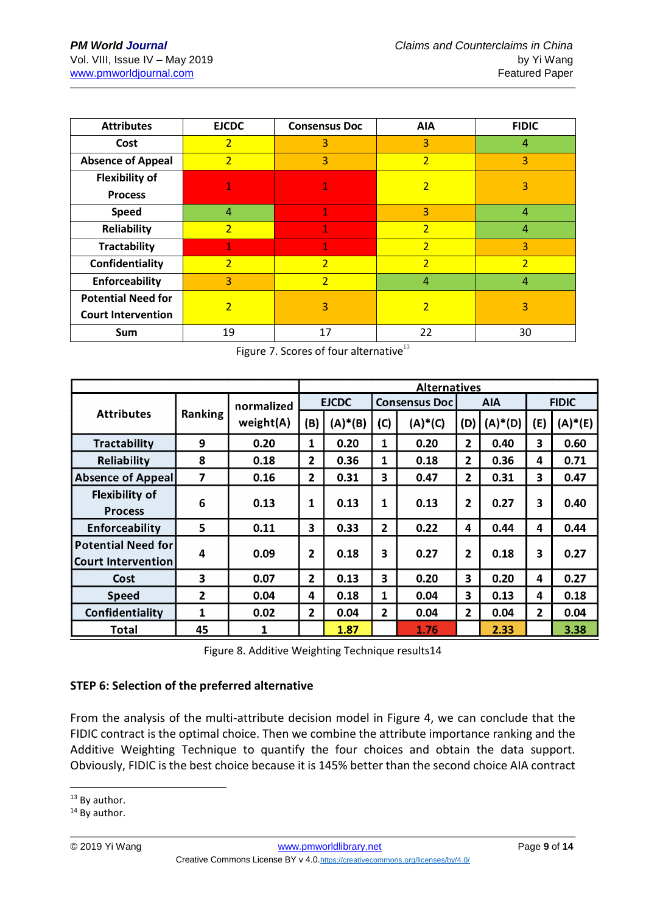| <b>Attributes</b>         | <b>EJCDC</b>             | <b>Consensus Doc</b> | <b>AIA</b>     | <b>FIDIC</b>   |  |  |
|---------------------------|--------------------------|----------------------|----------------|----------------|--|--|
| Cost                      | $\overline{2}$           | 3                    | 3              | 4              |  |  |
| <b>Absence of Appeal</b>  | $\overline{2}$           | 3                    | $\overline{2}$ | 3              |  |  |
| <b>Flexibility of</b>     |                          |                      | $\overline{2}$ | 3              |  |  |
| <b>Process</b>            |                          |                      |                |                |  |  |
| <b>Speed</b>              | 4                        | 1                    | 3              | 4              |  |  |
| <b>Reliability</b>        | $\overline{2}$           | 1                    | $\overline{2}$ | 4              |  |  |
| <b>Tractability</b>       | 1                        | 1                    | $\overline{2}$ | 3              |  |  |
| Confidentiality           | $\overline{2}$           | $\overline{2}$       | $\overline{2}$ | $\overline{2}$ |  |  |
| Enforceability            | 3                        | $\overline{2}$       | 4              | 4              |  |  |
| <b>Potential Need for</b> | $\overline{\phantom{a}}$ | 3                    | $\overline{2}$ | 3              |  |  |
| <b>Court Intervention</b> |                          |                      |                |                |  |  |
| Sum                       | 19                       | 17                   | 22             | 30             |  |  |

Figure 7. Scores of four alternative $^{13}$ 

|                                                 |                |                         | <b>Alternatives</b> |            |                      |           |                |            |                |            |
|-------------------------------------------------|----------------|-------------------------|---------------------|------------|----------------------|-----------|----------------|------------|----------------|------------|
| <b>Attributes</b>                               | Ranking        | normalized<br>weight(A) | <b>EJCDC</b>        |            | <b>Consensus Doc</b> |           | <b>AIA</b>     |            | <b>FIDIC</b>   |            |
|                                                 |                |                         | (B)                 | $(A)^*(B)$ | (C)                  | $(A)*(C)$ | (D)            | $(A)^*(D)$ | (E)            | $(A)^*(E)$ |
| <b>Tractability</b>                             | 9              | 0.20                    | 1                   | 0.20       | 1                    | 0.20      | 2              | 0.40       | 3              | 0.60       |
| Reliability                                     | 8              | 0.18                    | $\overline{2}$      | 0.36       | 1                    | 0.18      | 2              | 0.36       | 4              | 0.71       |
| <b>Absence of Appeal</b>                        | 7              | 0.16                    | 2                   | 0.31       | 3                    | 0.47      | 2              | 0.31       | 3              | 0.47       |
| <b>Flexibility of</b><br><b>Process</b>         | 6              | 0.13                    | 1                   | 0.13       | 1                    | 0.13      | 2              | 0.27       | 3              | 0.40       |
| Enforceability                                  | 5              | 0.11                    | 3                   | 0.33       | 2                    | 0.22      | 4              | 0.44       | 4              | 0.44       |
| Potential Need for<br><b>Court Intervention</b> | 4              | 0.09                    | 2                   | 0.18       | 3                    | 0.27      | $\overline{2}$ | 0.18       | 3              | 0.27       |
| Cost                                            | 3              | 0.07                    | $\overline{2}$      | 0.13       | 3                    | 0.20      | 3              | 0.20       | 4              | 0.27       |
| <b>Speed</b>                                    | $\overline{2}$ | 0.04                    | 4                   | 0.18       | 1                    | 0.04      | 3              | 0.13       | 4              | 0.18       |
| Confidentiality                                 | $\mathbf{1}$   | 0.02                    | $\overline{2}$      | 0.04       | 2                    | 0.04      | 2              | 0.04       | $\overline{2}$ | 0.04       |
| Total                                           | 45             |                         |                     | 1.87       |                      | 1.76      |                | 2.33       |                | 3.38       |

Figure 8. Additive Weighting Technique results14

# **STEP 6: Selection of the preferred alternative**

From the analysis of the multi-attribute decision model in Figure 4, we can conclude that the FIDIC contract is the optimal choice. Then we combine the attribute importance ranking and the Additive Weighting Technique to quantify the four choices and obtain the data support. Obviously, FIDIC is the best choice because it is 145% better than the second choice AIA contract

<sup>1</sup>  $13$  By author.

<sup>&</sup>lt;sup>14</sup> By author.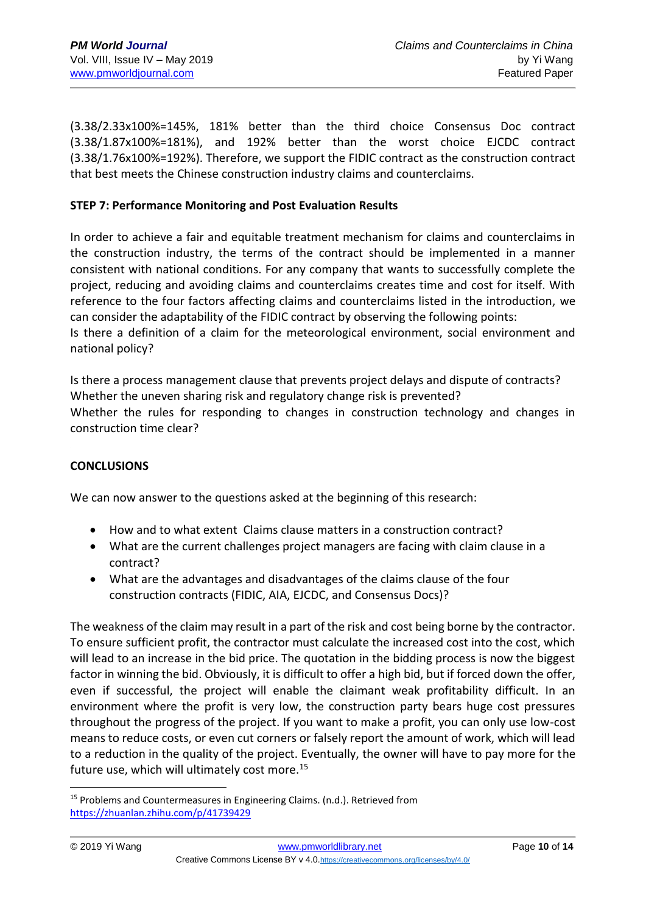(3.38/2.33x100%=145%, 181% better than the third choice Consensus Doc contract (3.38/1.87x100%=181%), and 192% better than the worst choice EJCDC contract (3.38/1.76x100%=192%). Therefore, we support the FIDIC contract as the construction contract that best meets the Chinese construction industry claims and counterclaims.

### **STEP 7: Performance Monitoring and Post Evaluation Results**

In order to achieve a fair and equitable treatment mechanism for claims and counterclaims in the construction industry, the terms of the contract should be implemented in a manner consistent with national conditions. For any company that wants to successfully complete the project, reducing and avoiding claims and counterclaims creates time and cost for itself. With reference to the four factors affecting claims and counterclaims listed in the introduction, we can consider the adaptability of the FIDIC contract by observing the following points: Is there a definition of a claim for the meteorological environment, social environment and national policy?

Is there a process management clause that prevents project delays and dispute of contracts? Whether the uneven sharing risk and regulatory change risk is prevented? Whether the rules for responding to changes in construction technology and changes in construction time clear?

#### **CONCLUSIONS**

We can now answer to the questions asked at the beginning of this research:

- How and to what extent Claims clause matters in a construction contract?
- What are the current challenges project managers are facing with claim clause in a contract?
- What are the advantages and disadvantages of the claims clause of the four construction contracts (FIDIC, AIA, EJCDC, and Consensus Docs)?

The weakness of the claim may result in a part of the risk and cost being borne by the contractor. To ensure sufficient profit, the contractor must calculate the increased cost into the cost, which will lead to an increase in the bid price. The quotation in the bidding process is now the biggest factor in winning the bid. Obviously, it is difficult to offer a high bid, but if forced down the offer, even if successful, the project will enable the claimant weak profitability difficult. In an environment where the profit is very low, the construction party bears huge cost pressures throughout the progress of the project. If you want to make a profit, you can only use low-cost means to reduce costs, or even cut corners or falsely report the amount of work, which will lead to a reduction in the quality of the project. Eventually, the owner will have to pay more for the future use, which will ultimately cost more.<sup>15</sup>

 $15$  Problems and Countermeasures in Engineering Claims. (n.d.). Retrieved from <https://zhuanlan.zhihu.com/p/41739429>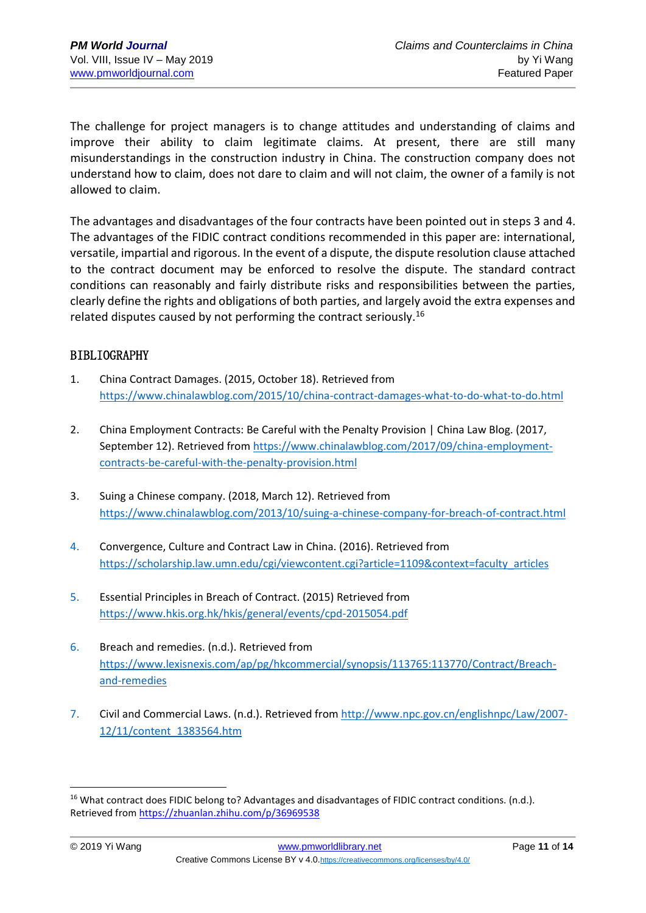The challenge for project managers is to change attitudes and understanding of claims and improve their ability to claim legitimate claims. At present, there are still many misunderstandings in the construction industry in China. The construction company does not understand how to claim, does not dare to claim and will not claim, the owner of a family is not allowed to claim.

The advantages and disadvantages of the four contracts have been pointed out in steps 3 and 4. The advantages of the FIDIC contract conditions recommended in this paper are: international, versatile, impartial and rigorous. In the event of a dispute, the dispute resolution clause attached to the contract document may be enforced to resolve the dispute. The standard contract conditions can reasonably and fairly distribute risks and responsibilities between the parties, clearly define the rights and obligations of both parties, and largely avoid the extra expenses and related disputes caused by not performing the contract seriously.<sup>16</sup>

# BIBLIOGRAPHY

- 1. China Contract Damages. (2015, October 18). Retrieved from <https://www.chinalawblog.com/2015/10/china-contract-damages-what-to-do-what-to-do.html>
- 2. China Employment Contracts: Be Careful with the Penalty Provision | China Law Blog. (2017, September 12). Retrieved from [https://www.chinalawblog.com/2017/09/china-employment](https://www.chinalawblog.com/2017/09/china-employment-contracts-be-careful-with-the-penalty-provision.html)[contracts-be-careful-with-the-penalty-provision.html](https://www.chinalawblog.com/2017/09/china-employment-contracts-be-careful-with-the-penalty-provision.html)
- 3. Suing a Chinese company. (2018, March 12). Retrieved from <https://www.chinalawblog.com/2013/10/suing-a-chinese-company-for-breach-of-contract.html>
- 4. Convergence, Culture and Contract Law in China. (2016). Retrieved from [https://scholarship.law.umn.edu/cgi/viewcontent.cgi?article=1109&context=faculty\\_articles](https://scholarship.law.umn.edu/cgi/viewcontent.cgi?article=1109&context=faculty_articles)
- 5. Essential Principles in Breach of Contract. (2015) Retrieved from <https://www.hkis.org.hk/hkis/general/events/cpd-2015054.pdf>
- 6. Breach and remedies. (n.d.). Retrieved from [https://www.lexisnexis.com/ap/pg/hkcommercial/synopsis/113765:113770/Contract/Breach](https://www.lexisnexis.com/ap/pg/hkcommercial/synopsis/113765:113770/Contract/Breach-and-remedies)[and-remedies](https://www.lexisnexis.com/ap/pg/hkcommercial/synopsis/113765:113770/Contract/Breach-and-remedies)
- 7. Civil and Commercial Laws. (n.d.). Retrieved from [http://www.npc.gov.cn/englishnpc/Law/2007-](http://www.npc.gov.cn/englishnpc/Law/2007-12/11/content_1383564.htm) [12/11/content\\_1383564.htm](http://www.npc.gov.cn/englishnpc/Law/2007-12/11/content_1383564.htm)

<sup>&</sup>lt;sup>16</sup> What contract does FIDIC belong to? Advantages and disadvantages of FIDIC contract conditions. (n.d.). Retrieved fro[m https://zhuanlan.zhihu.com/p/36969538](https://zhuanlan.zhihu.com/p/36969538)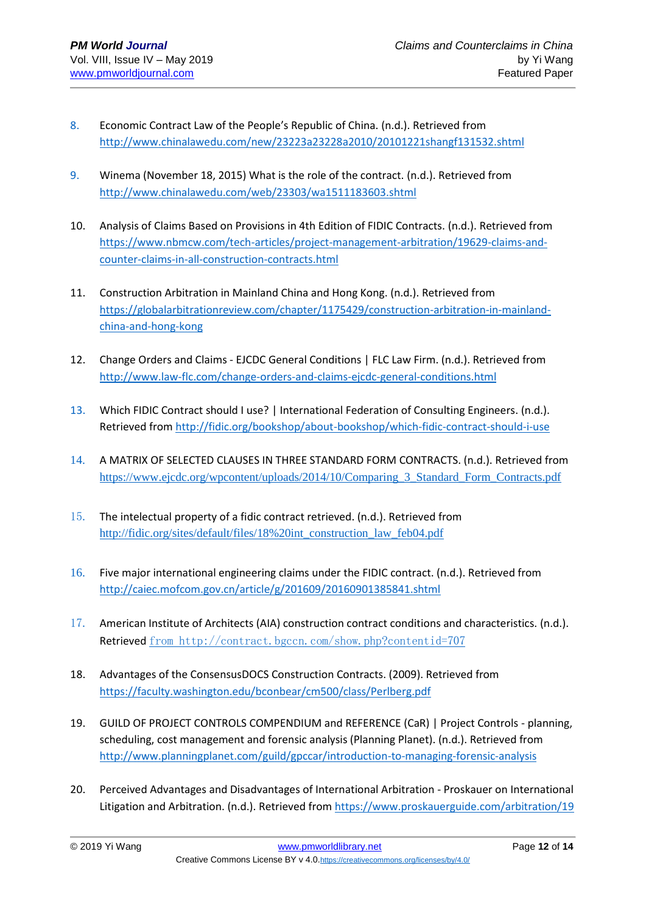- 8. Economic Contract Law of the People's Republic of China. (n.d.). Retrieved from <http://www.chinalawedu.com/new/23223a23228a2010/20101221shangf131532.shtml>
- 9. Winema (November 18, 2015) What is the role of the contract. (n.d.). Retrieved from <http://www.chinalawedu.com/web/23303/wa1511183603.shtml>
- 10. Analysis of Claims Based on Provisions in 4th Edition of FIDIC Contracts. (n.d.). Retrieved from [https://www.nbmcw.com/tech-articles/project-management-arbitration/19629-claims-and](https://www.nbmcw.com/tech-articles/project-management-arbitration/19629-claims-and-counter-claims-in-all-construction-contracts.html)[counter-claims-in-all-construction-contracts.html](https://www.nbmcw.com/tech-articles/project-management-arbitration/19629-claims-and-counter-claims-in-all-construction-contracts.html)
- 11. Construction Arbitration in Mainland China and Hong Kong. (n.d.). Retrieved from [https://globalarbitrationreview.com/chapter/1175429/construction-arbitration-in-mainland](https://globalarbitrationreview.com/chapter/1175429/construction-arbitration-in-mainland-china-and-hong-kong)[china-and-hong-kong](https://globalarbitrationreview.com/chapter/1175429/construction-arbitration-in-mainland-china-and-hong-kong)
- 12. Change Orders and Claims EJCDC General Conditions | FLC Law Firm. (n.d.). Retrieved from <http://www.law-flc.com/change-orders-and-claims-ejcdc-general-conditions.html>
- 13. Which FIDIC Contract should I use? | International Federation of Consulting Engineers. (n.d.). Retrieved fro[m http://fidic.org/bookshop/about-bookshop/which-fidic-contract-should-i-use](http://fidic.org/bookshop/about-bookshop/which-fidic-contract-should-i-use)
- 14. A MATRIX OF SELECTED CLAUSES IN THREE STANDARD FORM CONTRACTS. (n.d.). Retrieved from https://www.ejcdc.org/wpcontent/uploads/2014/10/Comparing\_3\_Standard\_Form\_Contracts.pdf
- 15. The intelectual property of a fidic contract retrieved. (n.d.). Retrieved from [http://fidic.org/sites/default/files/18%20int\\_construction\\_law\\_feb04.pdf](http://fidic.org/sites/default/fes/18%20int_construction_law_feb04.pdf)
- 16. Five major international engineering claims under the FIDIC contract. (n.d.). Retrieved from <http://caiec.mofcom.gov.cn/article/g/201609/20160901385841.shtml>
- 17. American Institute of Architects (AIA) construction contract conditions and characteristics. (n.d.). Retrieved from<http://contract.bgccn.com/show.php?contentid=707>
- 18. Advantages of the ConsensusDOCS Construction Contracts. (2009). Retrieved from <https://faculty.washington.edu/bconbear/cm500/class/Perlberg.pdf>
- 19. GUILD OF PROJECT CONTROLS COMPENDIUM and REFERENCE (CaR) | Project Controls planning, scheduling, cost management and forensic analysis (Planning Planet). (n.d.). Retrieved from <http://www.planningplanet.com/guild/gpccar/introduction-to-managing-forensic-analysis>
- 20. Perceived Advantages and Disadvantages of International Arbitration Proskauer on International Litigation and Arbitration. (n.d.). Retrieved fro[m https://www.proskauerguide.com/arbitration/19](https://www.proskauerguide.com/arbitration/19)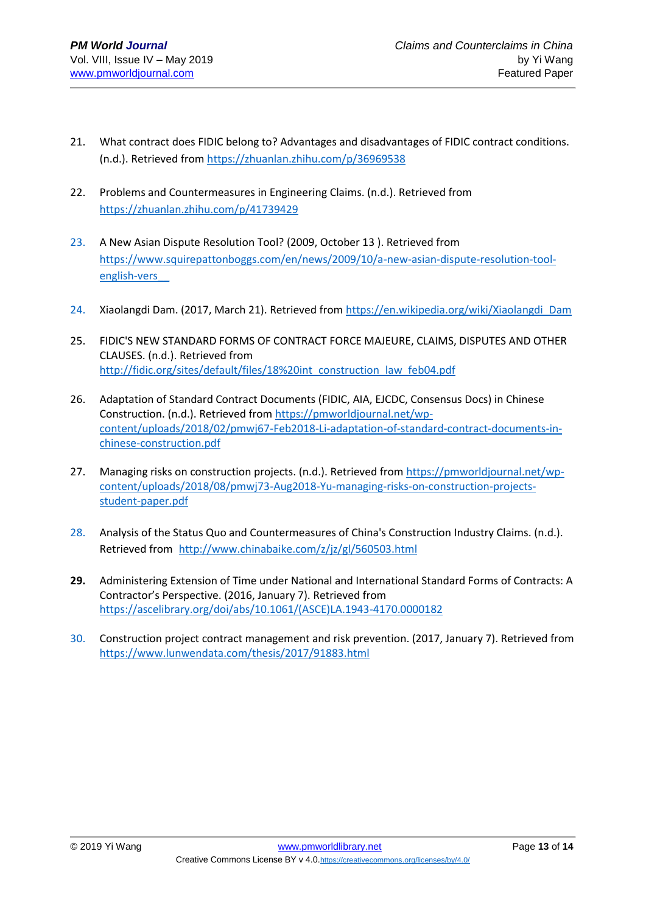- 21. What contract does FIDIC belong to? Advantages and disadvantages of FIDIC contract conditions. (n.d.). Retrieved from<https://zhuanlan.zhihu.com/p/36969538>
- 22. Problems and Countermeasures in Engineering Claims. (n.d.). Retrieved from <https://zhuanlan.zhihu.com/p/41739429>
- 23. A New Asian Dispute Resolution Tool? (2009, October 13 ). Retrieved from [https://www.squirepattonboggs.com/en/news/2009/10/a-new-asian-dispute-resolution-tool](https://www.squirepattonboggs.com/en/news/2009/10/a-new-asian-dispute-resolution-tool-english-vers__)[english-vers\\_\\_](https://www.squirepattonboggs.com/en/news/2009/10/a-new-asian-dispute-resolution-tool-english-vers__)
- 24. Xiaolangdi Dam. (2017, March 21). Retrieved fro[m https://en.wikipedia.org/wiki/Xiaolangdi\\_Dam](https://en.wikipedia.org/wiki/Xiaolangdi_Dam)
- 25. FIDIC'S NEW STANDARD FORMS OF CONTRACT FORCE MAJEURE, CLAIMS, DISPUTES AND OTHER CLAUSES. (n.d.). Retrieved from [http://fidic.org/sites/default/files/18%20int\\_construction\\_law\\_feb04.pdf](http://fidic.org/sites/default/files/18%20int_construction_law_feb04.pdf)
- 26. Adaptation of Standard Contract Documents (FIDIC, AIA, EJCDC, Consensus Docs) in Chinese Construction. (n.d.). Retrieved fro[m https://pmworldjournal.net/wp](https://pmworldjournal.net/wp-content/uploads/2018/02/pmwj67-Feb2018-Li-adaptation-of-standard-contract-documents-in-chinese-construction.pdf)[content/uploads/2018/02/pmwj67-Feb2018-Li-adaptation-of-standard-contract-documents-in](https://pmworldjournal.net/wp-content/uploads/2018/02/pmwj67-Feb2018-Li-adaptation-of-standard-contract-documents-in-chinese-construction.pdf)[chinese-construction.pdf](https://pmworldjournal.net/wp-content/uploads/2018/02/pmwj67-Feb2018-Li-adaptation-of-standard-contract-documents-in-chinese-construction.pdf)
- 27. Managing risks on construction projects. (n.d.). Retrieved from [https://pmworldjournal.net/wp](https://pmworldjournal.net/wp-content/uploads/2018/08/pmwj73-Aug2018-Yu-managing-risks-on-construction-projects-student-paper.pdf)[content/uploads/2018/08/pmwj73-Aug2018-Yu-managing-risks-on-construction-projects](https://pmworldjournal.net/wp-content/uploads/2018/08/pmwj73-Aug2018-Yu-managing-risks-on-construction-projects-student-paper.pdf)[student-paper.pdf](https://pmworldjournal.net/wp-content/uploads/2018/08/pmwj73-Aug2018-Yu-managing-risks-on-construction-projects-student-paper.pdf)
- 28. Analysis of the Status Quo and Countermeasures of China's Construction Industry Claims. (n.d.). Retrieved from <http://www.chinabaike.com/z/jz/gl/560503.html>
- **29.** Administering Extension of Time under National and International Standard Forms of Contracts: A Contractor's Perspective. (2016, January 7). Retrieved from [https://ascelibrary.org/doi/abs/10.1061/\(ASCE\)LA.1943-4170.0000182](https://ascelibrary.org/doi/abs/10.1061/(ASCE)LA.1943-4170.0000182)
- 30. Construction project contract management and risk prevention. (2017, January 7). Retrieved from <https://www.lunwendata.com/thesis/2017/91883.html>